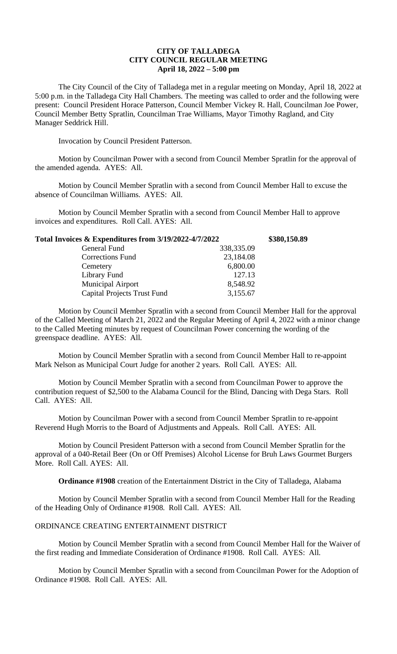## **CITY OF TALLADEGA CITY COUNCIL REGULAR MEETING April 18, 2022 – 5:00 pm**

The City Council of the City of Talladega met in a regular meeting on Monday, April 18, 2022 at 5:00 p.m. in the Talladega City Hall Chambers. The meeting was called to order and the following were present: Council President Horace Patterson, Council Member Vickey R. Hall, Councilman Joe Power, Council Member Betty Spratlin, Councilman Trae Williams, Mayor Timothy Ragland, and City Manager Seddrick Hill.

Invocation by Council President Patterson.

Motion by Councilman Power with a second from Council Member Spratlin for the approval of the amended agenda. AYES: All.

Motion by Council Member Spratlin with a second from Council Member Hall to excuse the absence of Councilman Williams. AYES: All.

Motion by Council Member Spratlin with a second from Council Member Hall to approve invoices and expenditures. Roll Call. AYES: All.

| Total Invoices & Expenditures from 3/19/2022-4/7/2022 |            | \$380,150.89 |
|-------------------------------------------------------|------------|--------------|
| General Fund                                          | 338,335.09 |              |
| <b>Corrections Fund</b>                               | 23,184.08  |              |
| Cemetery                                              | 6,800.00   |              |
| Library Fund                                          | 127.13     |              |
| <b>Municipal Airport</b>                              | 8,548.92   |              |
| <b>Capital Projects Trust Fund</b>                    | 3,155.67   |              |

Motion by Council Member Spratlin with a second from Council Member Hall for the approval of the Called Meeting of March 21, 2022 and the Regular Meeting of April 4, 2022 with a minor change to the Called Meeting minutes by request of Councilman Power concerning the wording of the greenspace deadline. AYES: All.

Motion by Council Member Spratlin with a second from Council Member Hall to re-appoint Mark Nelson as Municipal Court Judge for another 2 years. Roll Call. AYES: All.

Motion by Council Member Spratlin with a second from Councilman Power to approve the contribution request of \$2,500 to the Alabama Council for the Blind, Dancing with Dega Stars. Roll Call. AYES: All.

Motion by Councilman Power with a second from Council Member Spratlin to re-appoint Reverend Hugh Morris to the Board of Adjustments and Appeals. Roll Call. AYES: All.

Motion by Council President Patterson with a second from Council Member Spratlin for the approval of a 040-Retail Beer (On or Off Premises) Alcohol License for Bruh Laws Gourmet Burgers More. Roll Call. AYES: All.

**Ordinance #1908** creation of the Entertainment District in the City of Talladega, Alabama

Motion by Council Member Spratlin with a second from Council Member Hall for the Reading of the Heading Only of Ordinance #1908. Roll Call. AYES: All.

## ORDINANCE CREATING ENTERTAINMENT DISTRICT

Motion by Council Member Spratlin with a second from Council Member Hall for the Waiver of the first reading and Immediate Consideration of Ordinance #1908. Roll Call. AYES: All.

Motion by Council Member Spratlin with a second from Councilman Power for the Adoption of Ordinance #1908. Roll Call. AYES: All.